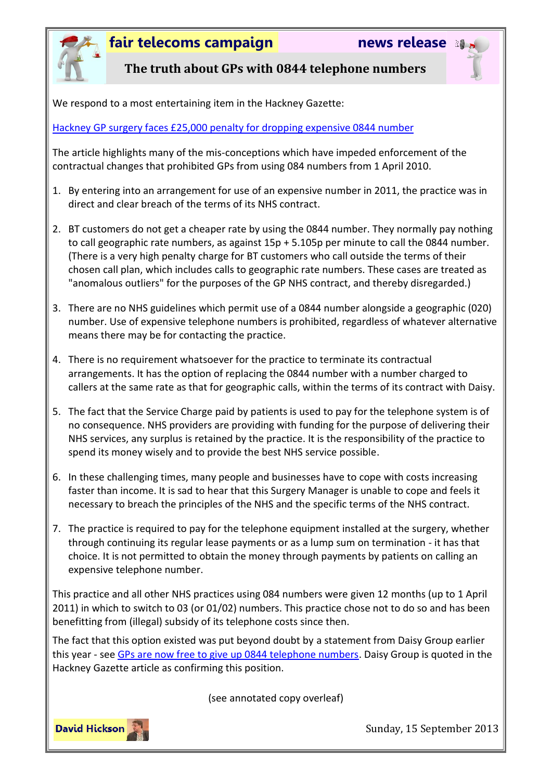

# **fair telecoms campaign news release**



### **The truth about GPs with 0844 telephone numbers**

We respond to a most entertaining item in the Hackney Gazette:

[Hackney GP surgery faces £25,000 penalty for dropping expensive 0844 number](http://www.hackneygazette.co.uk/news/hackney_gp_surgery_faces_25_000_penalty_for_dropping_expensive_0844_number_1_2546878)

The article highlights many of the mis-conceptions which have impeded enforcement of the contractual changes that prohibited GPs from using 084 numbers from 1 April 2010.

- 1. By entering into an arrangement for use of an expensive number in 2011, the practice was in direct and clear breach of the terms of its NHS contract.
- 2. BT customers do not get a cheaper rate by using the 0844 number. They normally pay nothing to call geographic rate numbers, as against 15p + 5.105p per minute to call the 0844 number. (There is a very high penalty charge for BT customers who call outside the terms of their chosen call plan, which includes calls to geographic rate numbers. These cases are treated as "anomalous outliers" for the purposes of the GP NHS contract, and thereby disregarded.)
- 3. There are no NHS guidelines which permit use of a 0844 number alongside a geographic (020) number. Use of expensive telephone numbers is prohibited, regardless of whatever alternative means there may be for contacting the practice.
- 4. There is no requirement whatsoever for the practice to terminate its contractual arrangements. It has the option of replacing the 0844 number with a number charged to callers at the same rate as that for geographic calls, within the terms of its contract with Daisy.
- 5. The fact that the Service Charge paid by patients is used to pay for the telephone system is of no consequence. NHS providers are providing with funding for the purpose of delivering their NHS services, any surplus is retained by the practice. It is the responsibility of the practice to spend its money wisely and to provide the best NHS service possible.
- 6. In these challenging times, many people and businesses have to cope with costs increasing faster than income. It is sad to hear that this Surgery Manager is unable to cope and feels it necessary to breach the principles of the NHS and the specific terms of the NHS contract.
- 7. The practice is required to pay for the telephone equipment installed at the surgery, whether through continuing its regular lease payments or as a lump sum on termination - it has that choice. It is not permitted to obtain the money through payments by patients on calling an expensive telephone number.

This practice and all other NHS practices using 084 numbers were given 12 months (up to 1 April 2011) in which to switch to 03 (or 01/02) numbers. This practice chose not to do so and has been benefitting from (illegal) subsidy of its telephone costs since then.

The fact that this option existed was put beyond doubt by a statement from Daisy Group earlier this year - see [GPs are now free to give up 0844 telephone numbers.](http://www.fairtelecoms.org.uk/uploads/1/1/4/5/11456053/migrate.pdf) Daisy Group is quoted in the Hackney Gazette article as confirming this position.

(see annotated copy overleaf)



Sunday, 15 September 2013